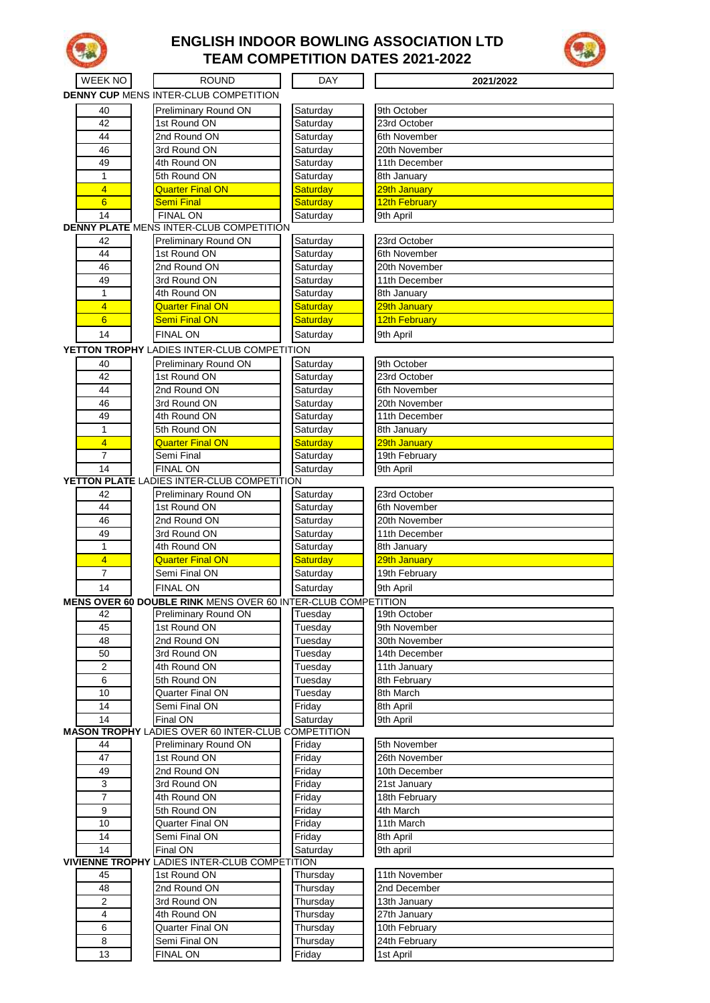

## **ENGLISH INDOOR BOWLING ASSOCIATION LTD TEAM COMPETITION DATES 2021-2022**



| WEEK NO         | <b>ROUND</b>                                                         | <b>DAY</b>           | 2021/2022                     |
|-----------------|----------------------------------------------------------------------|----------------------|-------------------------------|
|                 | <b>DENNY CUP MENS INTER-CLUB COMPETITION</b>                         |                      |                               |
| 40              | Preliminary Round ON                                                 | Saturday             | 9th October                   |
| 42              | 1st Round ON                                                         | Saturday             | 23rd October                  |
| 44              | 2nd Round ON                                                         | Saturday             | 6th November                  |
| 46              | 3rd Round ON                                                         | Saturday             | 20th November                 |
| 49              | 4th Round ON                                                         | Saturday             | 11th December                 |
| $\mathbf{1}$    | 5th Round ON                                                         | Saturday             | 8th January                   |
| $\overline{4}$  | <b>Quarter Final ON</b>                                              | Saturday             | 29th January                  |
| $6\overline{6}$ | <b>Semi Final</b>                                                    | Saturday             | 12th February                 |
| 14              | <b>FINAL ON</b>                                                      | Saturday             | 9th April                     |
|                 | <b>DENNY PLATE MENS INTER-CLUB COMPETITION</b>                       |                      |                               |
| 42              | Preliminary Round ON                                                 | Saturday             | 23rd October                  |
| 44              | 1st Round ON                                                         | Saturday             | 6th November                  |
| 46              | 2nd Round ON                                                         | Saturday             | 20th November                 |
| 49              | 3rd Round ON                                                         | Saturday             | 11th December                 |
| $\mathbf{1}$    | 4th Round ON                                                         | Saturday             | 8th January                   |
| 4               | <b>Quarter Final ON</b>                                              | Saturday             | 29th January                  |
| $6\overline{6}$ | <b>Semi Final ON</b>                                                 | Saturday             | 12th February                 |
| 14              | <b>FINAL ON</b>                                                      | Saturday             | 9th April                     |
|                 | YETTON TROPHY LADIES INTER-CLUB COMPETITION                          |                      |                               |
| 40              | Preliminary Round ON                                                 | Saturday             | 9th October                   |
| 42              | 1st Round ON                                                         | Saturday             | 23rd October                  |
| 44              | 2nd Round ON                                                         | Saturday             | 6th November                  |
| 46              | 3rd Round ON                                                         | Saturday             | 20th November                 |
| 49              | 4th Round ON                                                         | Saturday             | 11th December                 |
| $\mathbf{1}$    | 5th Round ON                                                         | Saturday             | 8th January                   |
| $\overline{4}$  | <b>Quarter Final ON</b>                                              | <b>Saturday</b>      | 29th January                  |
| $\overline{7}$  | Semi Final                                                           | Saturday             | 19th February                 |
| 14              | <b>FINAL ON</b>                                                      | Saturday             | 9th April                     |
|                 | YETTON PLATE LADIES INTER-CLUB COMPETITION                           |                      |                               |
| 42              | Preliminary Round ON                                                 | Saturday             | 23rd October                  |
| 44              | 1st Round ON                                                         | Saturday             | 6th November                  |
| 46              | 2nd Round ON                                                         | Saturday             | 20th November                 |
| 49              | 3rd Round ON                                                         | Saturday             | 11th December                 |
| 1               | 4th Round ON                                                         | Saturday             | 8th January                   |
| 4               | <b>Quarter Final ON</b>                                              | Saturday             | 29th January                  |
| $\overline{7}$  | Semi Final ON                                                        | Saturday             | 19th February                 |
| 14              | <b>FINAL ON</b>                                                      | Saturday             | 9th April                     |
|                 | <b>MENS OVER 60 DOUBLE RINK MENS OVER 60 INTER-CLUB COMPETITION</b>  |                      |                               |
| 42              | Preliminary Round ON                                                 | Tuesday              | 19th October                  |
| 45              | 1st Round ON                                                         | Tuesdav              | 9th November                  |
| 48              | 2nd Round ON                                                         | Tuesday              | 30th November                 |
| 50              | 3rd Round ON                                                         | Tuesday              | 14th December                 |
| 2               | 4th Round ON                                                         | Tuesdav              | 11th January                  |
| 6               | 5th Round ON                                                         | Tuesday              | 8th February                  |
| 10              | Quarter Final ON                                                     | Tuesday              | 8th March                     |
| 14              | Semi Final ON                                                        | Friday               | 8th April                     |
| 14              | Final ON                                                             | Saturday             | 9th April                     |
|                 | <b>MASON TROPHY LADIES OVER 60 INTER-CLUB COMPETITION</b>            |                      |                               |
| 44              | Preliminary Round ON                                                 | Friday               | 5th November                  |
| 47              | 1st Round ON                                                         | Friday               | 26th November                 |
| 49              | 2nd Round ON                                                         | Friday               | 10th December                 |
| 3               | 3rd Round ON                                                         | Friday               | 21st January                  |
| $\overline{7}$  | 4th Round ON                                                         | Friday               | 18th February                 |
| 9               | 5th Round ON                                                         | Friday               | 4th March                     |
| 10              | Quarter Final ON                                                     | Friday               | 11th March                    |
| 14              | Semi Final ON                                                        | Friday               | 8th April                     |
| 14              | Final ON                                                             | Saturday             | 9th april                     |
|                 | <b>VIVIENNE TROPHY LADIES INTER-CLUB COMPETITION</b><br>1st Round ON |                      | 11th November                 |
| 45<br>48        |                                                                      | Thursday             |                               |
| $\overline{2}$  | 2nd Round ON<br>3rd Round ON                                         | Thursday<br>Thursday | 2nd December                  |
| 4               | 4th Round ON                                                         |                      | 13th January                  |
| 6               | Quarter Final ON                                                     | Thursday<br>Thursday | 27th January<br>10th February |
| 8               | Semi Final ON                                                        | Thursday             | 24th February                 |
| 13              | <b>FINAL ON</b>                                                      | Friday               | 1st April                     |
|                 |                                                                      |                      |                               |